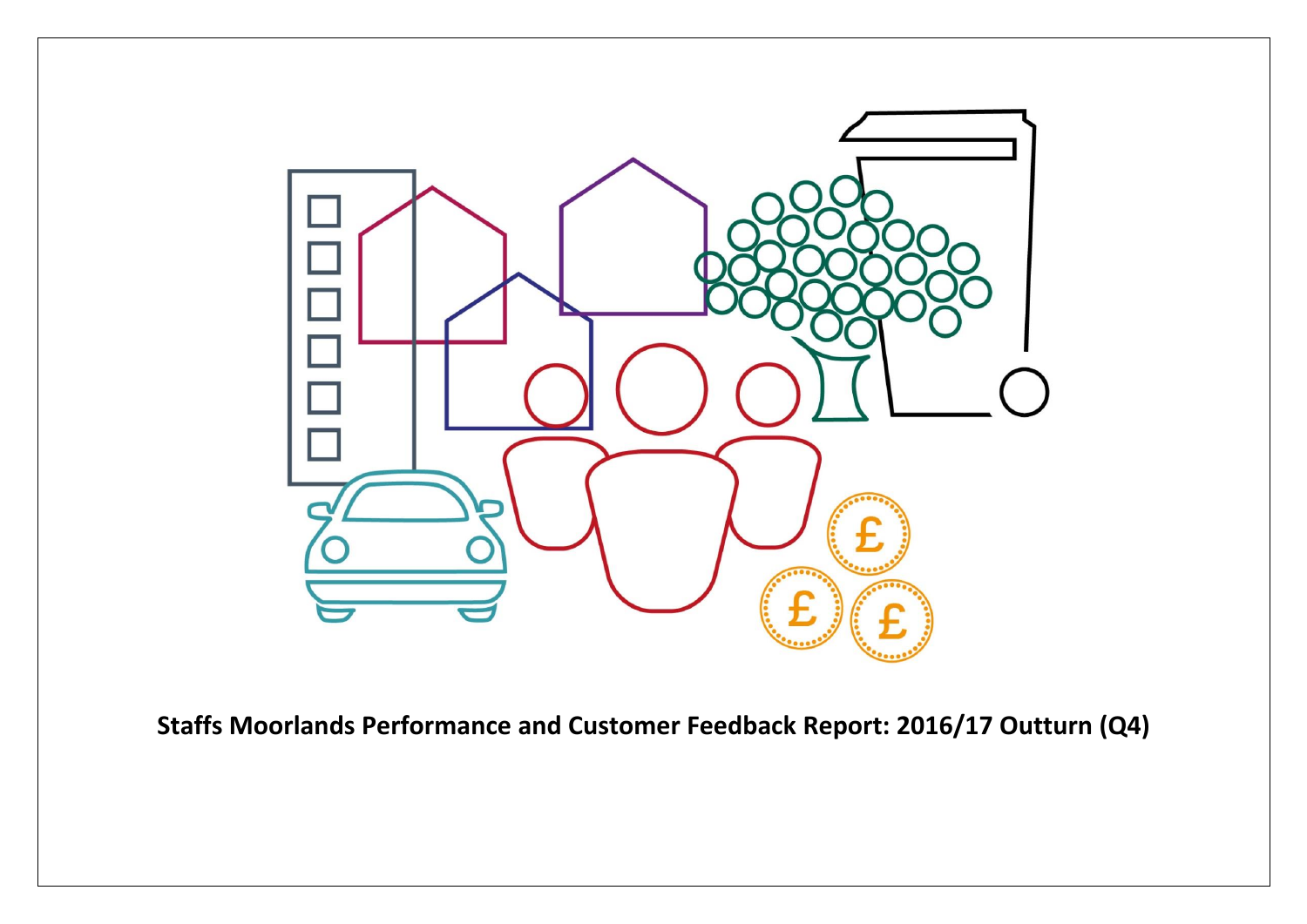

**Staffs Moorlands Performance and Customer Feedback Report: 2016/17 Outturn (Q4)**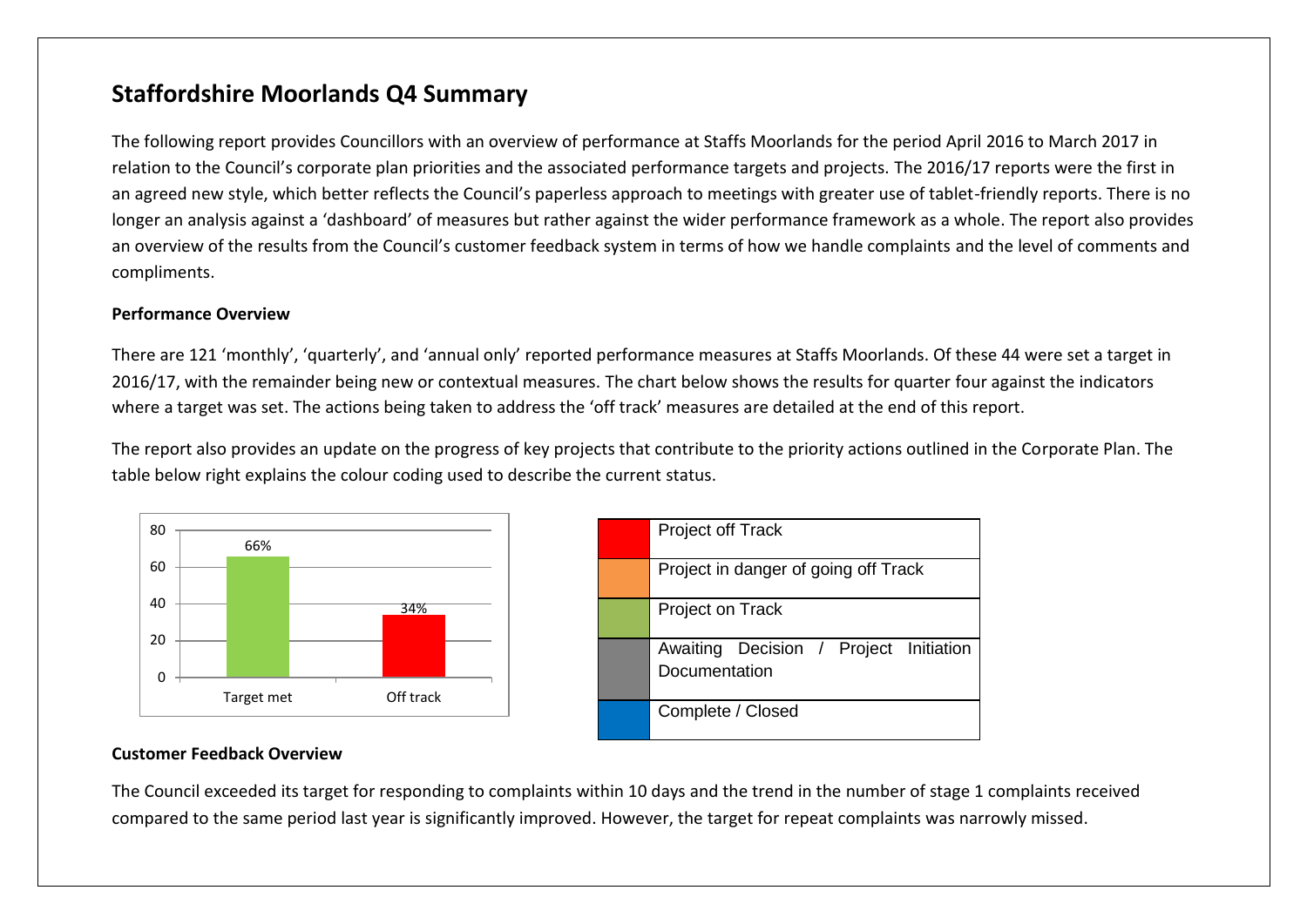## **Staffordshire Moorlands Q4 Summary**

The following report provides Councillors with an overview of performance at Staffs Moorlands for the period April 2016 to March 2017 in relation to the Council's corporate plan priorities and the associated performance targets and projects. The 2016/17 reports were the first in an agreed new style, which better reflects the Council's paperless approach to meetings with greater use of tablet-friendly reports. There is no longer an analysis against a 'dashboard' of measures but rather against the wider performance framework as a whole. The report also provides an overview of the results from the Council's customer feedback system in terms of how we handle complaints and the level of comments and compliments.

#### **Performance Overview**

There are 121 'monthly', 'quarterly', and 'annual only' reported performance measures at Staffs Moorlands. Of these 44 were set a target in 2016/17, with the remainder being new or contextual measures. The chart below shows the results for quarter four against the indicators where a target was set. The actions being taken to address the 'off track' measures are detailed at the end of this report.

The report also provides an update on the progress of key projects that contribute to the priority actions outlined in the Corporate Plan. The table below right explains the colour coding used to describe the current status.



| Project off Track                                       |  |  |  |  |  |
|---------------------------------------------------------|--|--|--|--|--|
| Project in danger of going off Track                    |  |  |  |  |  |
| Project on Track                                        |  |  |  |  |  |
| Awaiting Decision / Project Initiation<br>Documentation |  |  |  |  |  |
| Complete / Closed                                       |  |  |  |  |  |

#### **Customer Feedback Overview**

The Council exceeded its target for responding to complaints within 10 days and the trend in the number of stage 1 complaints received compared to the same period last year is significantly improved. However, the target for repeat complaints was narrowly missed.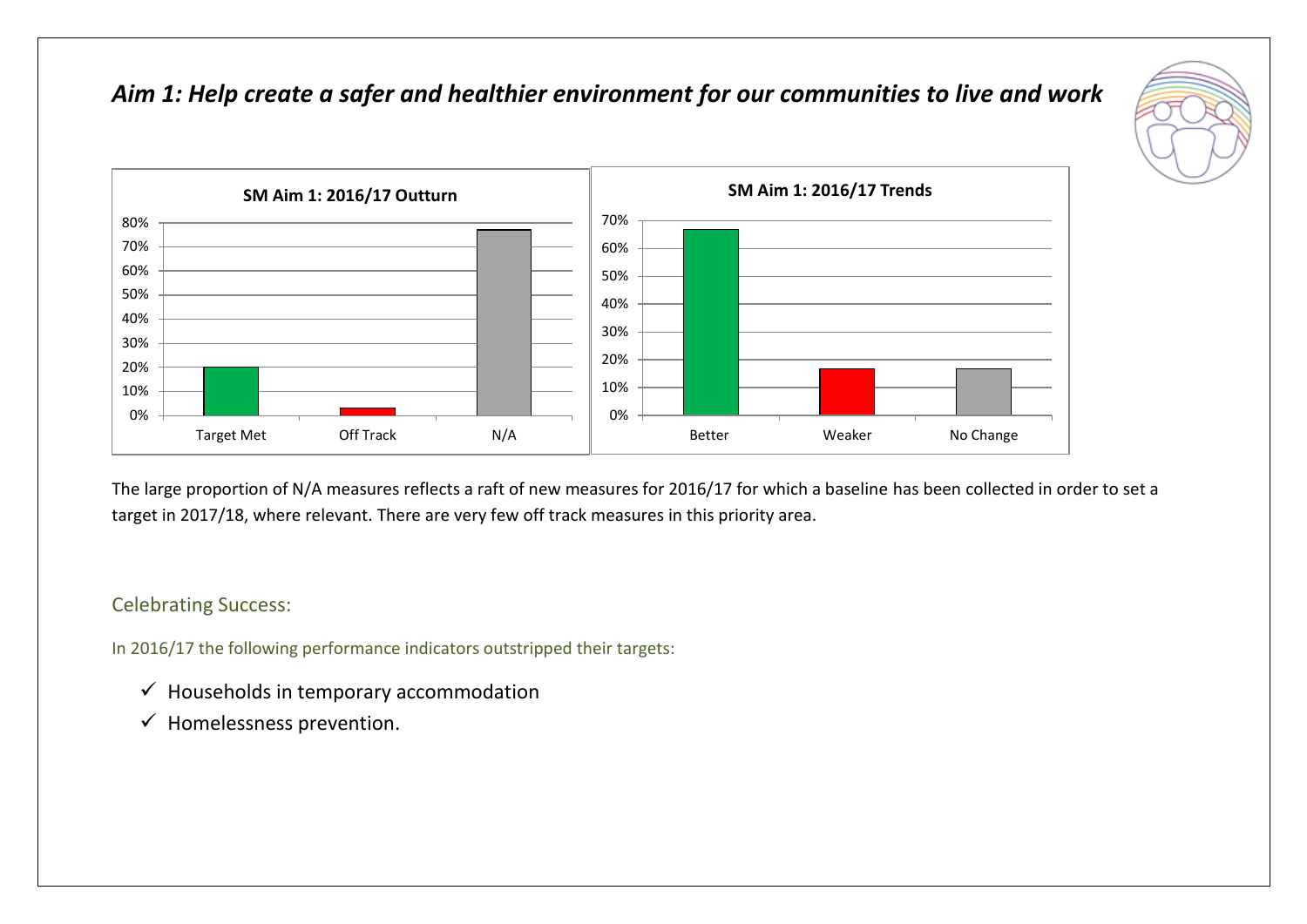## *Aim 1: Help create a safer and healthier environment for our communities to live and work*





The large proportion of N/A measures reflects a raft of new measures for 2016/17 for which a baseline has been collected in order to set a target in 2017/18, where relevant. There are very few off track measures in this priority area.

### Celebrating Success:

- $\checkmark$  Households in temporary accommodation
- $\checkmark$  Homelessness prevention.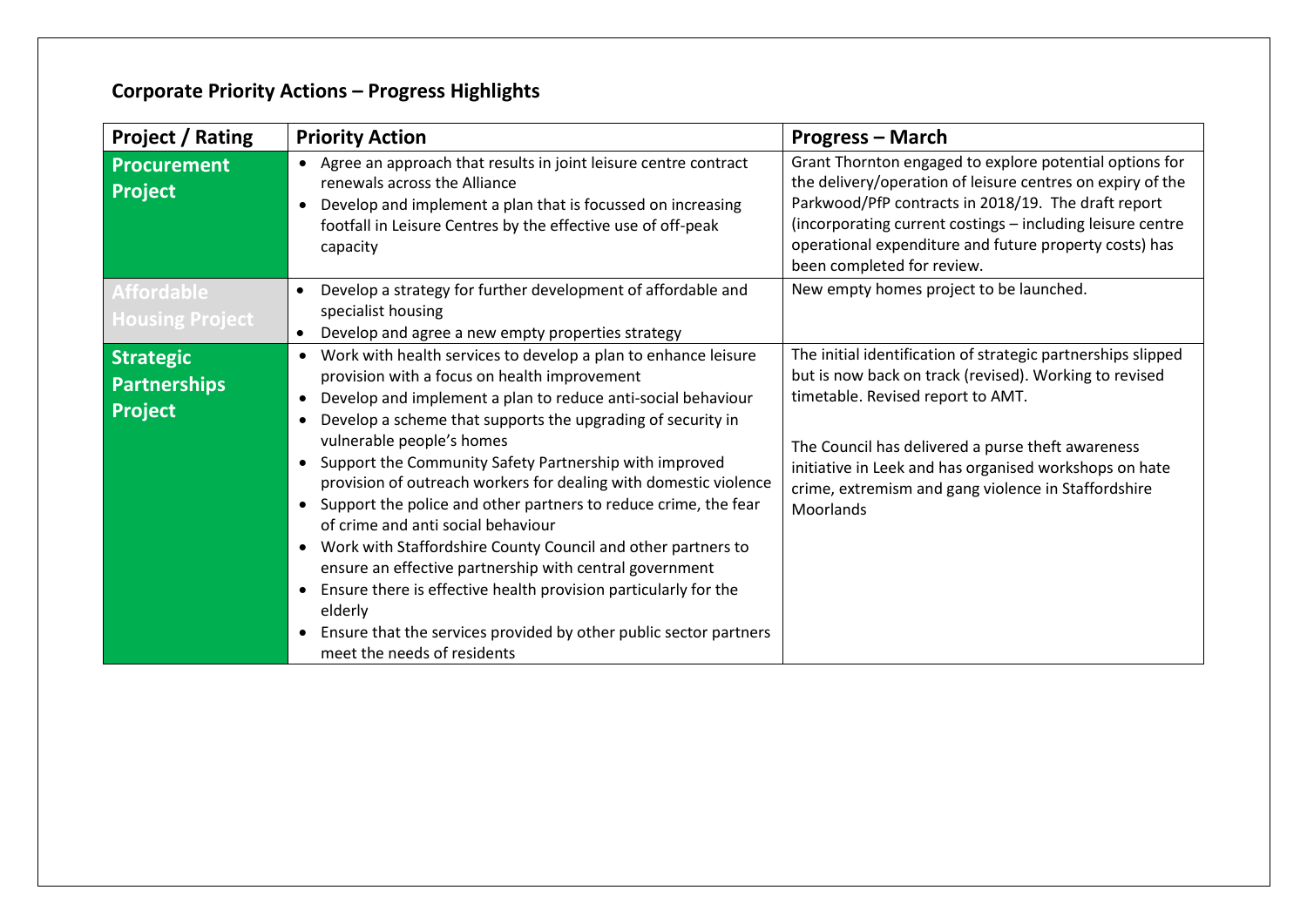| <b>Project / Rating</b><br><b>Priority Action</b>         |                                                                                                                                                                                                                                                                                                                                                                                                                                                                                                                                                                                                                                                                                                                                                                                                                                                                                                                                        | <b>Progress - March</b>                                                                                                                                                                                                                                                                                                                        |
|-----------------------------------------------------------|----------------------------------------------------------------------------------------------------------------------------------------------------------------------------------------------------------------------------------------------------------------------------------------------------------------------------------------------------------------------------------------------------------------------------------------------------------------------------------------------------------------------------------------------------------------------------------------------------------------------------------------------------------------------------------------------------------------------------------------------------------------------------------------------------------------------------------------------------------------------------------------------------------------------------------------|------------------------------------------------------------------------------------------------------------------------------------------------------------------------------------------------------------------------------------------------------------------------------------------------------------------------------------------------|
| <b>Procurement</b><br><b>Project</b>                      | Agree an approach that results in joint leisure centre contract<br>$\bullet$<br>renewals across the Alliance<br>Develop and implement a plan that is focussed on increasing<br>$\bullet$<br>footfall in Leisure Centres by the effective use of off-peak<br>capacity                                                                                                                                                                                                                                                                                                                                                                                                                                                                                                                                                                                                                                                                   | Grant Thornton engaged to explore potential options for<br>the delivery/operation of leisure centres on expiry of the<br>Parkwood/PfP contracts in 2018/19. The draft report<br>(incorporating current costings - including leisure centre<br>operational expenditure and future property costs) has<br>been completed for review.             |
| <b>Affordable</b><br><b>Housing Project</b>               | Develop a strategy for further development of affordable and<br>specialist housing<br>Develop and agree a new empty properties strategy<br>$\bullet$                                                                                                                                                                                                                                                                                                                                                                                                                                                                                                                                                                                                                                                                                                                                                                                   | New empty homes project to be launched.                                                                                                                                                                                                                                                                                                        |
| <b>Strategic</b><br><b>Partnerships</b><br><b>Project</b> | Work with health services to develop a plan to enhance leisure<br>$\bullet$<br>provision with a focus on health improvement<br>Develop and implement a plan to reduce anti-social behaviour<br>$\bullet$<br>Develop a scheme that supports the upgrading of security in<br>$\bullet$<br>vulnerable people's homes<br>Support the Community Safety Partnership with improved<br>$\bullet$<br>provision of outreach workers for dealing with domestic violence<br>Support the police and other partners to reduce crime, the fear<br>$\bullet$<br>of crime and anti social behaviour<br>Work with Staffordshire County Council and other partners to<br>$\bullet$<br>ensure an effective partnership with central government<br>Ensure there is effective health provision particularly for the<br>$\bullet$<br>elderly<br>Ensure that the services provided by other public sector partners<br>$\bullet$<br>meet the needs of residents | The initial identification of strategic partnerships slipped<br>but is now back on track (revised). Working to revised<br>timetable. Revised report to AMT.<br>The Council has delivered a purse theft awareness<br>initiative in Leek and has organised workshops on hate<br>crime, extremism and gang violence in Staffordshire<br>Moorlands |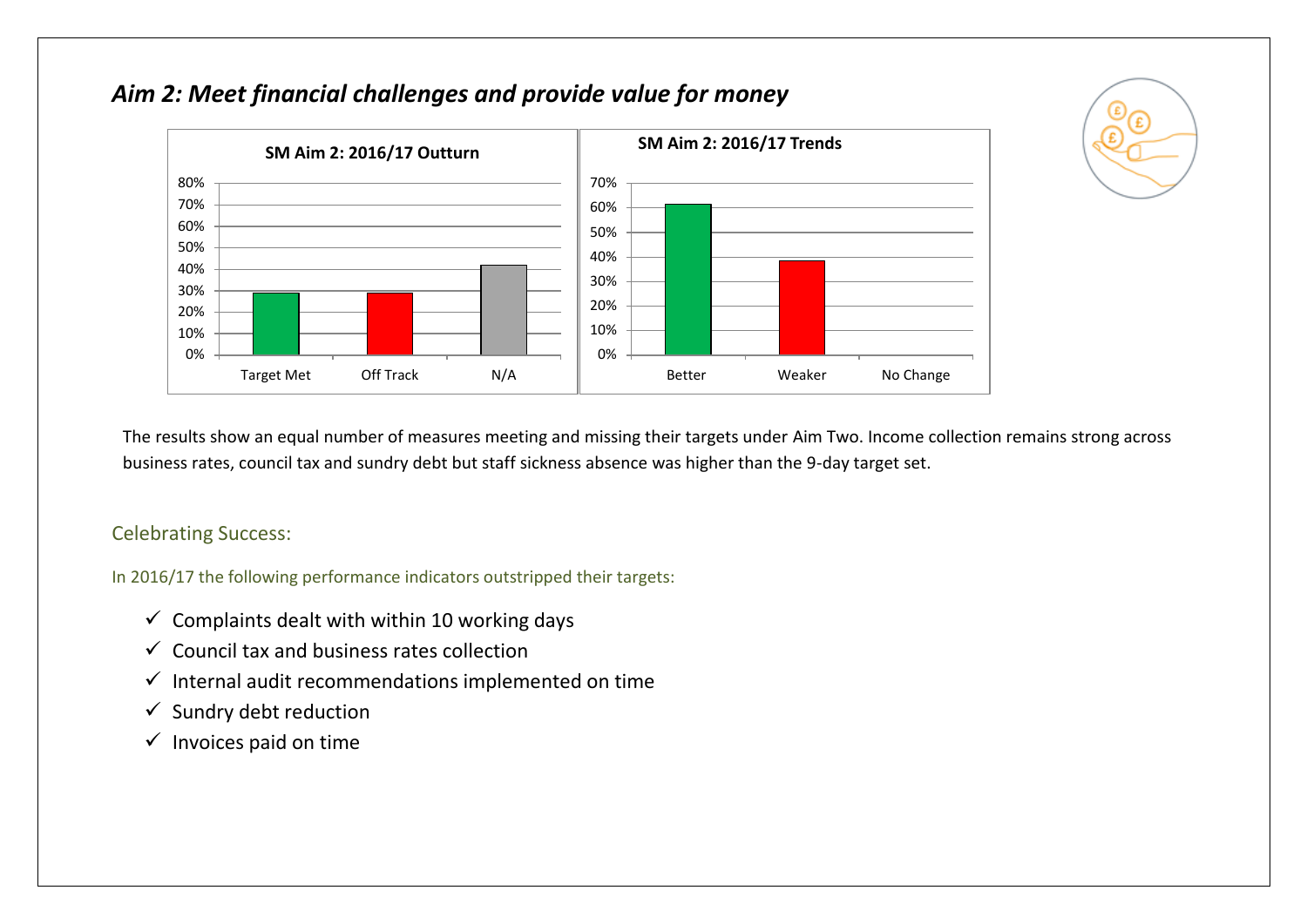

## *Aim 2: Meet financial challenges and provide value for money*

The results show an equal number of measures meeting and missing their targets under Aim Two. Income collection remains strong across business rates, council tax and sundry debt but staff sickness absence was higher than the 9-day target set.

#### Celebrating Success:

- $\checkmark$  Complaints dealt with within 10 working days
- $\checkmark$  Council tax and business rates collection
- $\checkmark$  Internal audit recommendations implemented on time
- $\checkmark$  Sundry debt reduction
- $\checkmark$  Invoices paid on time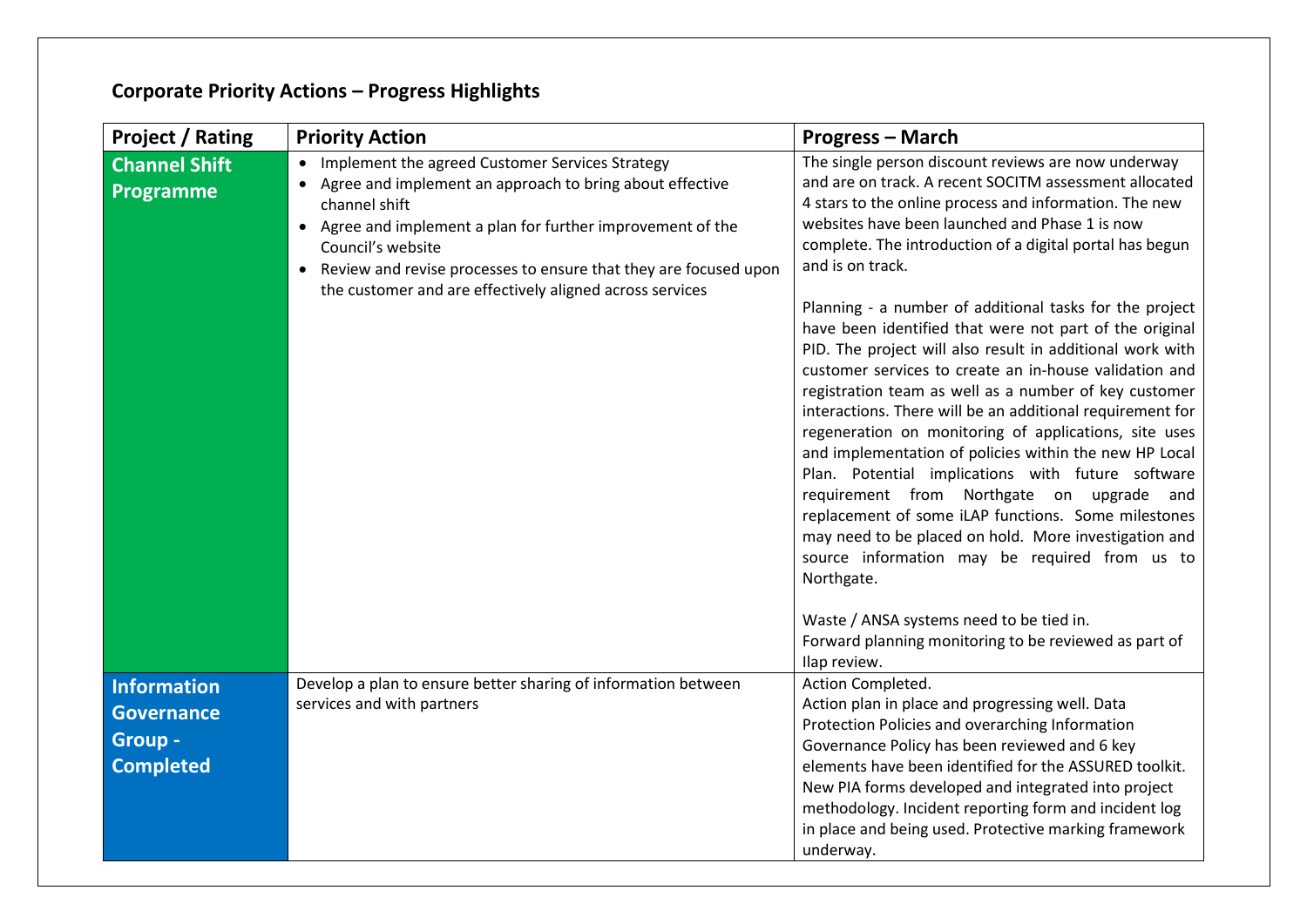| <b>Project / Rating</b>                                                | <b>Priority Action</b>                                                                                                                                                                                                                                                                                                                           | <b>Progress - March</b>                                                                                                                                                                                                                                                                                                                                                                                                                                                                                                                                                                                                                                                                                                                                                                                                                                                                                                                                                                                                                                                          |
|------------------------------------------------------------------------|--------------------------------------------------------------------------------------------------------------------------------------------------------------------------------------------------------------------------------------------------------------------------------------------------------------------------------------------------|----------------------------------------------------------------------------------------------------------------------------------------------------------------------------------------------------------------------------------------------------------------------------------------------------------------------------------------------------------------------------------------------------------------------------------------------------------------------------------------------------------------------------------------------------------------------------------------------------------------------------------------------------------------------------------------------------------------------------------------------------------------------------------------------------------------------------------------------------------------------------------------------------------------------------------------------------------------------------------------------------------------------------------------------------------------------------------|
| <b>Channel Shift</b><br>Programme                                      | Implement the agreed Customer Services Strategy<br>Agree and implement an approach to bring about effective<br>channel shift<br>• Agree and implement a plan for further improvement of the<br>Council's website<br>Review and revise processes to ensure that they are focused upon<br>the customer and are effectively aligned across services | The single person discount reviews are now underway<br>and are on track. A recent SOCITM assessment allocated<br>4 stars to the online process and information. The new<br>websites have been launched and Phase 1 is now<br>complete. The introduction of a digital portal has begun<br>and is on track.<br>Planning - a number of additional tasks for the project<br>have been identified that were not part of the original<br>PID. The project will also result in additional work with<br>customer services to create an in-house validation and<br>registration team as well as a number of key customer<br>interactions. There will be an additional requirement for<br>regeneration on monitoring of applications, site uses<br>and implementation of policies within the new HP Local<br>Plan. Potential implications with future software<br>requirement from Northgate on upgrade and<br>replacement of some iLAP functions. Some milestones<br>may need to be placed on hold. More investigation and<br>source information may be required from us to<br>Northgate. |
| <b>Information</b><br><b>Governance</b><br>Group -<br><b>Completed</b> | Develop a plan to ensure better sharing of information between<br>services and with partners                                                                                                                                                                                                                                                     | Waste / ANSA systems need to be tied in.<br>Forward planning monitoring to be reviewed as part of<br>Ilap review.<br>Action Completed.<br>Action plan in place and progressing well. Data<br>Protection Policies and overarching Information<br>Governance Policy has been reviewed and 6 key<br>elements have been identified for the ASSURED toolkit.<br>New PIA forms developed and integrated into project<br>methodology. Incident reporting form and incident log<br>in place and being used. Protective marking framework<br>underway.                                                                                                                                                                                                                                                                                                                                                                                                                                                                                                                                    |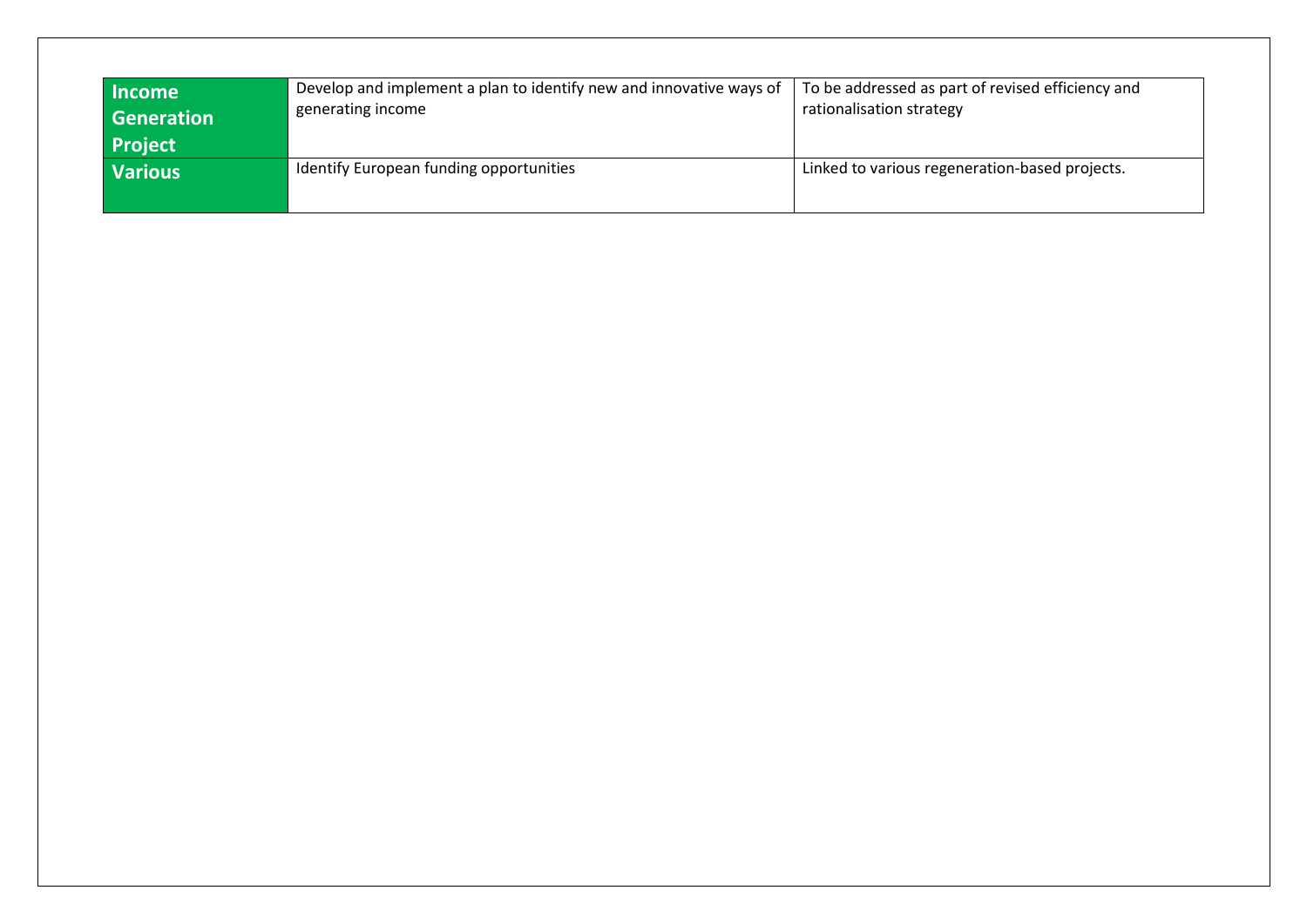| <b>Income</b><br>Generation<br><b>Project</b>             | Develop and implement a plan to identify new and innovative ways of<br>generating income | To be addressed as part of revised efficiency and<br>rationalisation strategy |
|-----------------------------------------------------------|------------------------------------------------------------------------------------------|-------------------------------------------------------------------------------|
| Identify European funding opportunities<br><b>Various</b> |                                                                                          | Linked to various regeneration-based projects.                                |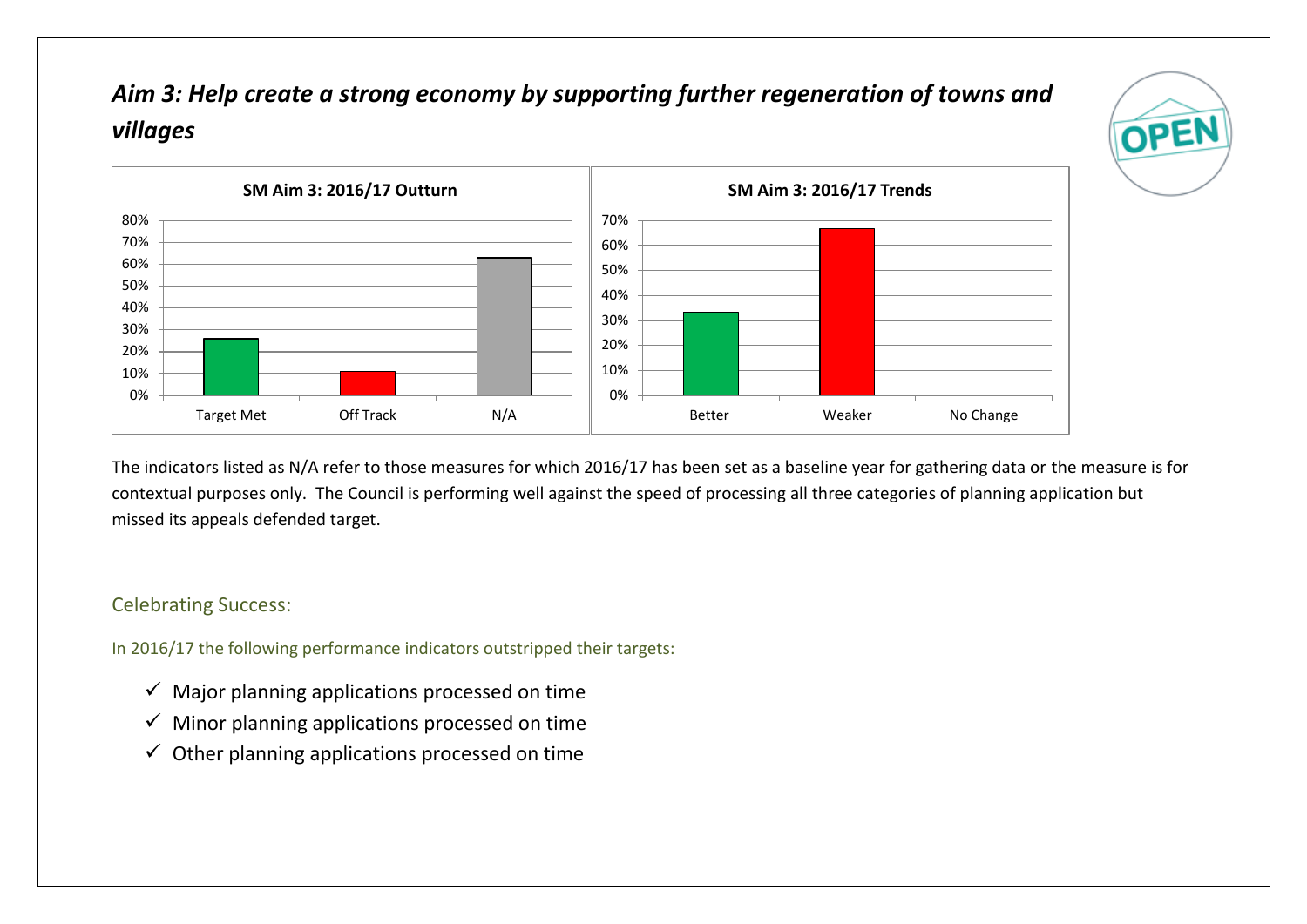# *Aim 3: Help create a strong economy by supporting further regeneration of towns and villages*





The indicators listed as N/A refer to those measures for which 2016/17 has been set as a baseline year for gathering data or the measure is for contextual purposes only. The Council is performing well against the speed of processing all three categories of planning application but missed its appeals defended target.

#### Celebrating Success:

- $\checkmark$  Major planning applications processed on time
- $\checkmark$  Minor planning applications processed on time
- $\checkmark$  Other planning applications processed on time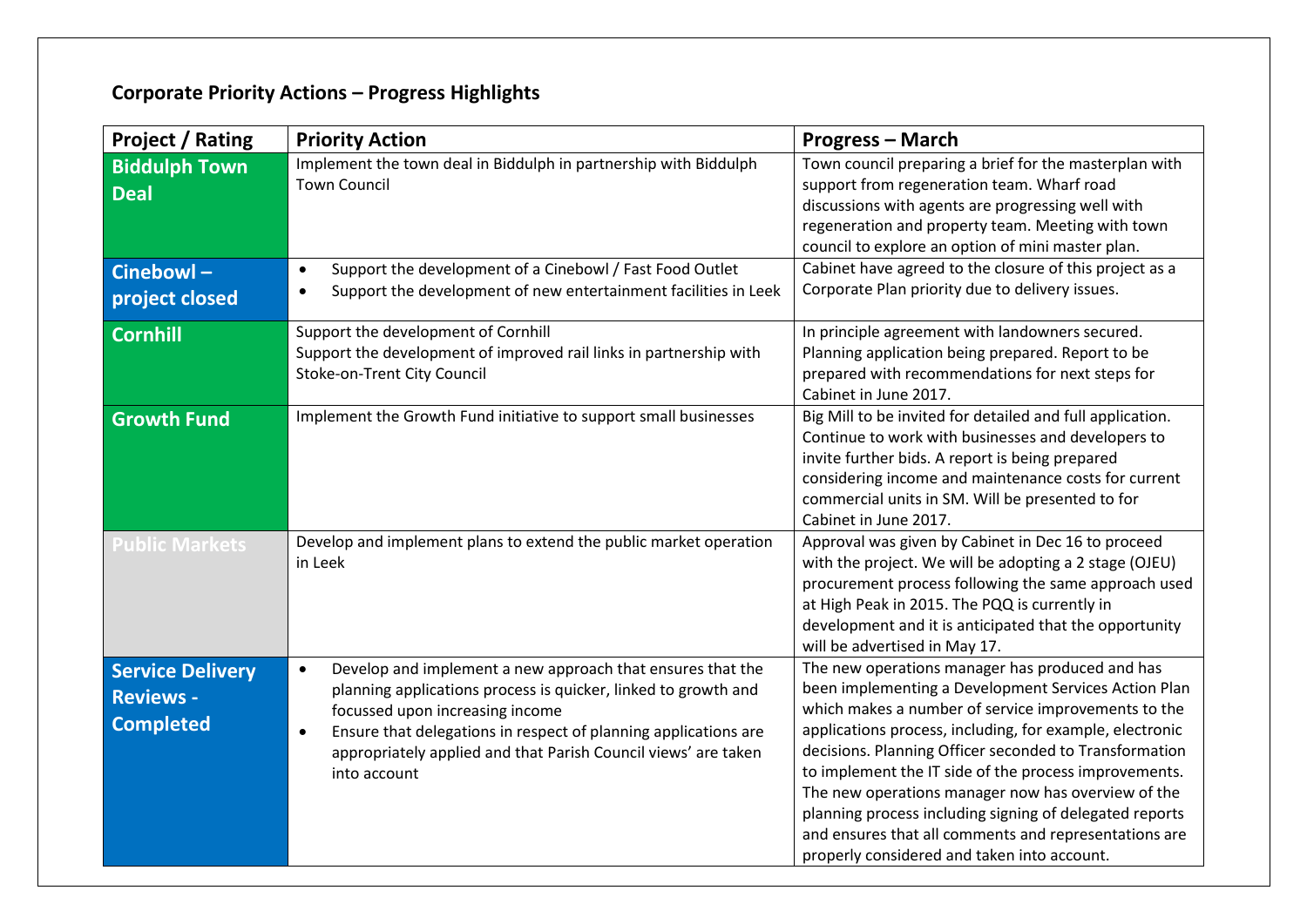| <b>Project / Rating</b>                                         | <b>Priority Action</b>                                                                                                                                                                                                                                                                                                                         | <b>Progress - March</b>                                                                                                                                                                                                                                                                                                                                                                                                                                                                                                                                                |
|-----------------------------------------------------------------|------------------------------------------------------------------------------------------------------------------------------------------------------------------------------------------------------------------------------------------------------------------------------------------------------------------------------------------------|------------------------------------------------------------------------------------------------------------------------------------------------------------------------------------------------------------------------------------------------------------------------------------------------------------------------------------------------------------------------------------------------------------------------------------------------------------------------------------------------------------------------------------------------------------------------|
| <b>Biddulph Town</b><br><b>Deal</b>                             | Implement the town deal in Biddulph in partnership with Biddulph<br><b>Town Council</b>                                                                                                                                                                                                                                                        | Town council preparing a brief for the masterplan with<br>support from regeneration team. Wharf road<br>discussions with agents are progressing well with<br>regeneration and property team. Meeting with town<br>council to explore an option of mini master plan.                                                                                                                                                                                                                                                                                                    |
| Cinebowl-<br>project closed                                     | Support the development of a Cinebowl / Fast Food Outlet<br>$\bullet$<br>Support the development of new entertainment facilities in Leek<br>$\bullet$                                                                                                                                                                                          | Cabinet have agreed to the closure of this project as a<br>Corporate Plan priority due to delivery issues.                                                                                                                                                                                                                                                                                                                                                                                                                                                             |
| <b>Cornhill</b>                                                 | Support the development of Cornhill<br>Support the development of improved rail links in partnership with<br>Stoke-on-Trent City Council                                                                                                                                                                                                       | In principle agreement with landowners secured.<br>Planning application being prepared. Report to be<br>prepared with recommendations for next steps for<br>Cabinet in June 2017.                                                                                                                                                                                                                                                                                                                                                                                      |
| <b>Growth Fund</b>                                              | Implement the Growth Fund initiative to support small businesses                                                                                                                                                                                                                                                                               | Big Mill to be invited for detailed and full application.<br>Continue to work with businesses and developers to<br>invite further bids. A report is being prepared<br>considering income and maintenance costs for current<br>commercial units in SM. Will be presented to for<br>Cabinet in June 2017.                                                                                                                                                                                                                                                                |
| <b>Public Markets</b>                                           | Develop and implement plans to extend the public market operation<br>in Leek                                                                                                                                                                                                                                                                   | Approval was given by Cabinet in Dec 16 to proceed<br>with the project. We will be adopting a 2 stage (OJEU)<br>procurement process following the same approach used<br>at High Peak in 2015. The PQQ is currently in<br>development and it is anticipated that the opportunity<br>will be advertised in May 17.                                                                                                                                                                                                                                                       |
| <b>Service Delivery</b><br><b>Reviews -</b><br><b>Completed</b> | Develop and implement a new approach that ensures that the<br>$\bullet$<br>planning applications process is quicker, linked to growth and<br>focussed upon increasing income<br>Ensure that delegations in respect of planning applications are<br>$\bullet$<br>appropriately applied and that Parish Council views' are taken<br>into account | The new operations manager has produced and has<br>been implementing a Development Services Action Plan<br>which makes a number of service improvements to the<br>applications process, including, for example, electronic<br>decisions. Planning Officer seconded to Transformation<br>to implement the IT side of the process improvements.<br>The new operations manager now has overview of the<br>planning process including signing of delegated reports<br>and ensures that all comments and representations are<br>properly considered and taken into account. |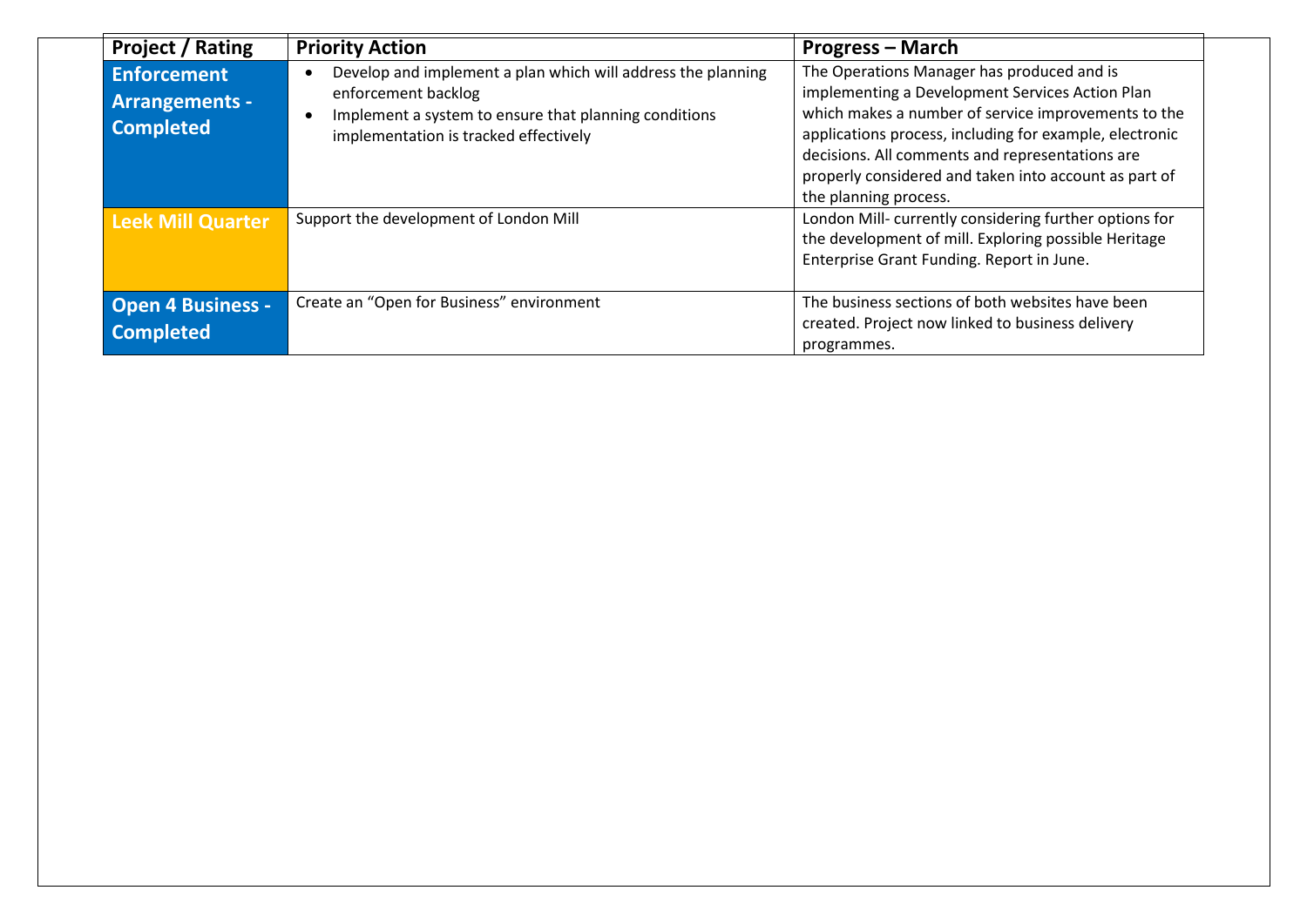| <b>Project / Rating</b>                                         | <b>Priority Action</b>                                                                                                                                                                | <b>Progress – March</b>                                                                                                                                                                                                                                                                                                                              |
|-----------------------------------------------------------------|---------------------------------------------------------------------------------------------------------------------------------------------------------------------------------------|------------------------------------------------------------------------------------------------------------------------------------------------------------------------------------------------------------------------------------------------------------------------------------------------------------------------------------------------------|
| <b>Enforcement</b><br><b>Arrangements -</b><br><b>Completed</b> | Develop and implement a plan which will address the planning<br>enforcement backlog<br>Implement a system to ensure that planning conditions<br>implementation is tracked effectively | The Operations Manager has produced and is<br>implementing a Development Services Action Plan<br>which makes a number of service improvements to the<br>applications process, including for example, electronic<br>decisions. All comments and representations are<br>properly considered and taken into account as part of<br>the planning process. |
| <b>Leek Mill Quarter</b>                                        | Support the development of London Mill                                                                                                                                                | London Mill-currently considering further options for<br>the development of mill. Exploring possible Heritage<br>Enterprise Grant Funding. Report in June.                                                                                                                                                                                           |
| <b>Open 4 Business -</b><br><b>Completed</b>                    | Create an "Open for Business" environment                                                                                                                                             | The business sections of both websites have been<br>created. Project now linked to business delivery<br>programmes.                                                                                                                                                                                                                                  |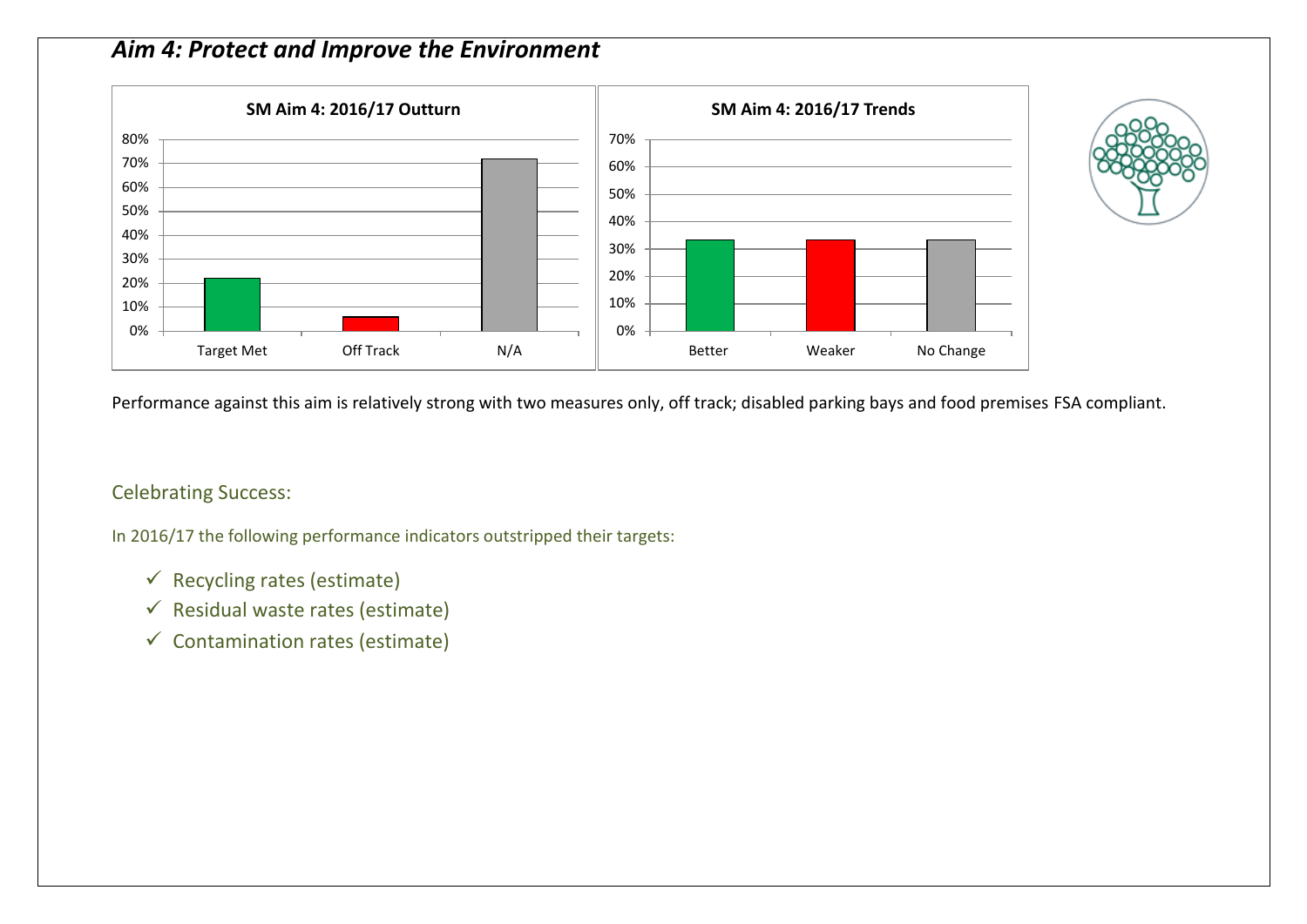### *Aim 4: Protect and Improve the Environment*





#### Celebrating Success:

- $\checkmark$  Recycling rates (estimate)
- $\checkmark$  Residual waste rates (estimate)
- $\checkmark$  Contamination rates (estimate)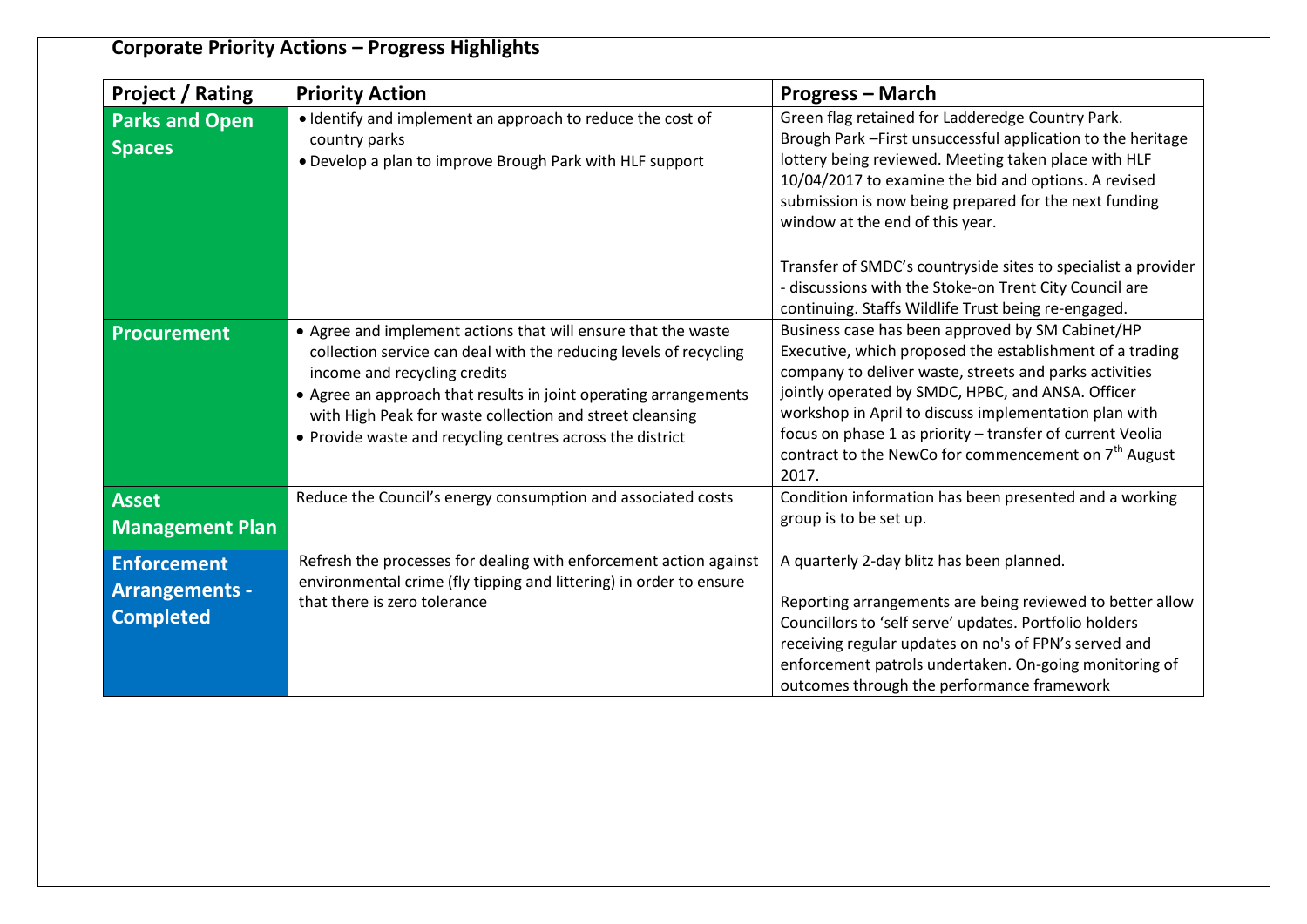| <b>Project / Rating</b>                                         | <b>Priority Action</b>                                                                                                                                                                                                                                                                                                                                          | <b>Progress – March</b>                                                                                                                                                                                                                                                                                                                                                                                                        |
|-----------------------------------------------------------------|-----------------------------------------------------------------------------------------------------------------------------------------------------------------------------------------------------------------------------------------------------------------------------------------------------------------------------------------------------------------|--------------------------------------------------------------------------------------------------------------------------------------------------------------------------------------------------------------------------------------------------------------------------------------------------------------------------------------------------------------------------------------------------------------------------------|
| <b>Parks and Open</b><br><b>Spaces</b>                          | · Identify and implement an approach to reduce the cost of<br>country parks<br>. Develop a plan to improve Brough Park with HLF support                                                                                                                                                                                                                         | Green flag retained for Ladderedge Country Park.<br>Brough Park - First unsuccessful application to the heritage<br>lottery being reviewed. Meeting taken place with HLF<br>10/04/2017 to examine the bid and options. A revised<br>submission is now being prepared for the next funding<br>window at the end of this year.                                                                                                   |
|                                                                 |                                                                                                                                                                                                                                                                                                                                                                 | Transfer of SMDC's countryside sites to specialist a provider<br>- discussions with the Stoke-on Trent City Council are<br>continuing. Staffs Wildlife Trust being re-engaged.                                                                                                                                                                                                                                                 |
| <b>Procurement</b>                                              | • Agree and implement actions that will ensure that the waste<br>collection service can deal with the reducing levels of recycling<br>income and recycling credits<br>• Agree an approach that results in joint operating arrangements<br>with High Peak for waste collection and street cleansing<br>• Provide waste and recycling centres across the district | Business case has been approved by SM Cabinet/HP<br>Executive, which proposed the establishment of a trading<br>company to deliver waste, streets and parks activities<br>jointly operated by SMDC, HPBC, and ANSA. Officer<br>workshop in April to discuss implementation plan with<br>focus on phase 1 as priority - transfer of current Veolia<br>contract to the NewCo for commencement on 7 <sup>th</sup> August<br>2017. |
| <b>Asset</b><br><b>Management Plan</b>                          | Reduce the Council's energy consumption and associated costs                                                                                                                                                                                                                                                                                                    | Condition information has been presented and a working<br>group is to be set up.                                                                                                                                                                                                                                                                                                                                               |
| <b>Enforcement</b><br><b>Arrangements -</b><br><b>Completed</b> | Refresh the processes for dealing with enforcement action against<br>environmental crime (fly tipping and littering) in order to ensure<br>that there is zero tolerance                                                                                                                                                                                         | A quarterly 2-day blitz has been planned.<br>Reporting arrangements are being reviewed to better allow<br>Councillors to 'self serve' updates. Portfolio holders<br>receiving regular updates on no's of FPN's served and<br>enforcement patrols undertaken. On-going monitoring of<br>outcomes through the performance framework                                                                                              |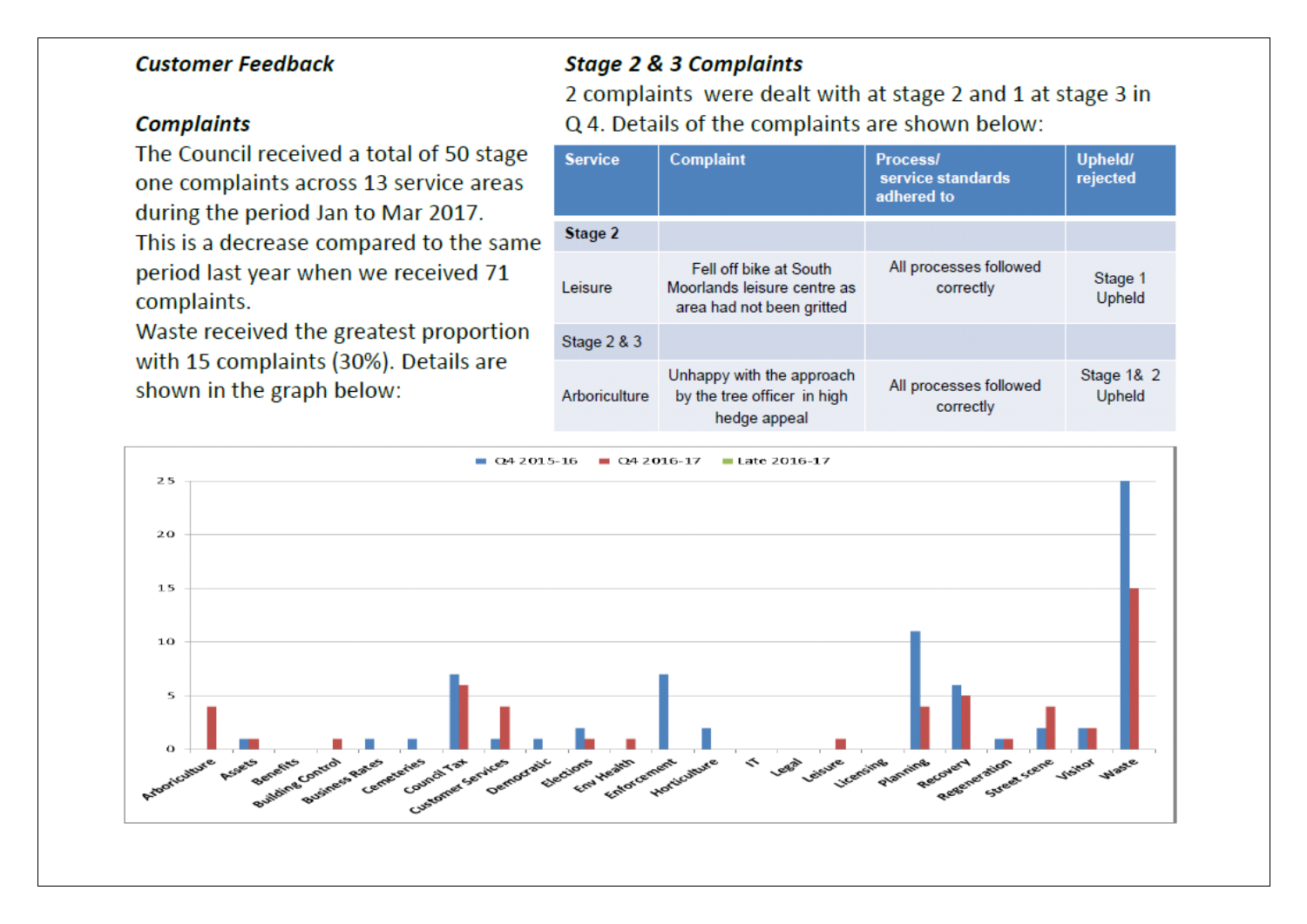### **Customer Feedback**

### **Complaints**

The Council received a total of 50 stage one complaints across 13 service areas during the period Jan to Mar 2017. This is a decrease compared to the same period last year when we received 71 complaints.

Waste received the greatest proportion with 15 complaints (30%). Details are shown in the graph below:

### **Stage 2 & 3 Complaints**

2 complaints were dealt with at stage 2 and 1 at stage 3 in Q 4. Details of the complaints are shown below:

| <b>Service</b> | <b>Complaint</b>                                                                   | <b>Process/</b><br>service standards<br>adhered to | Upheld/<br>rejected  |
|----------------|------------------------------------------------------------------------------------|----------------------------------------------------|----------------------|
| Stage 2        |                                                                                    |                                                    |                      |
| Leisure        | Fell off bike at South<br>Moorlands leisure centre as<br>area had not been gritted | All processes followed<br>correctly                | Stage 1<br>Upheld    |
| Stage $2 & 3$  |                                                                                    |                                                    |                      |
| Arboriculture  | Unhappy with the approach<br>by the tree officer in high<br>hedge appeal           | All processes followed<br>correctly                | Stage 1& 2<br>Upheld |

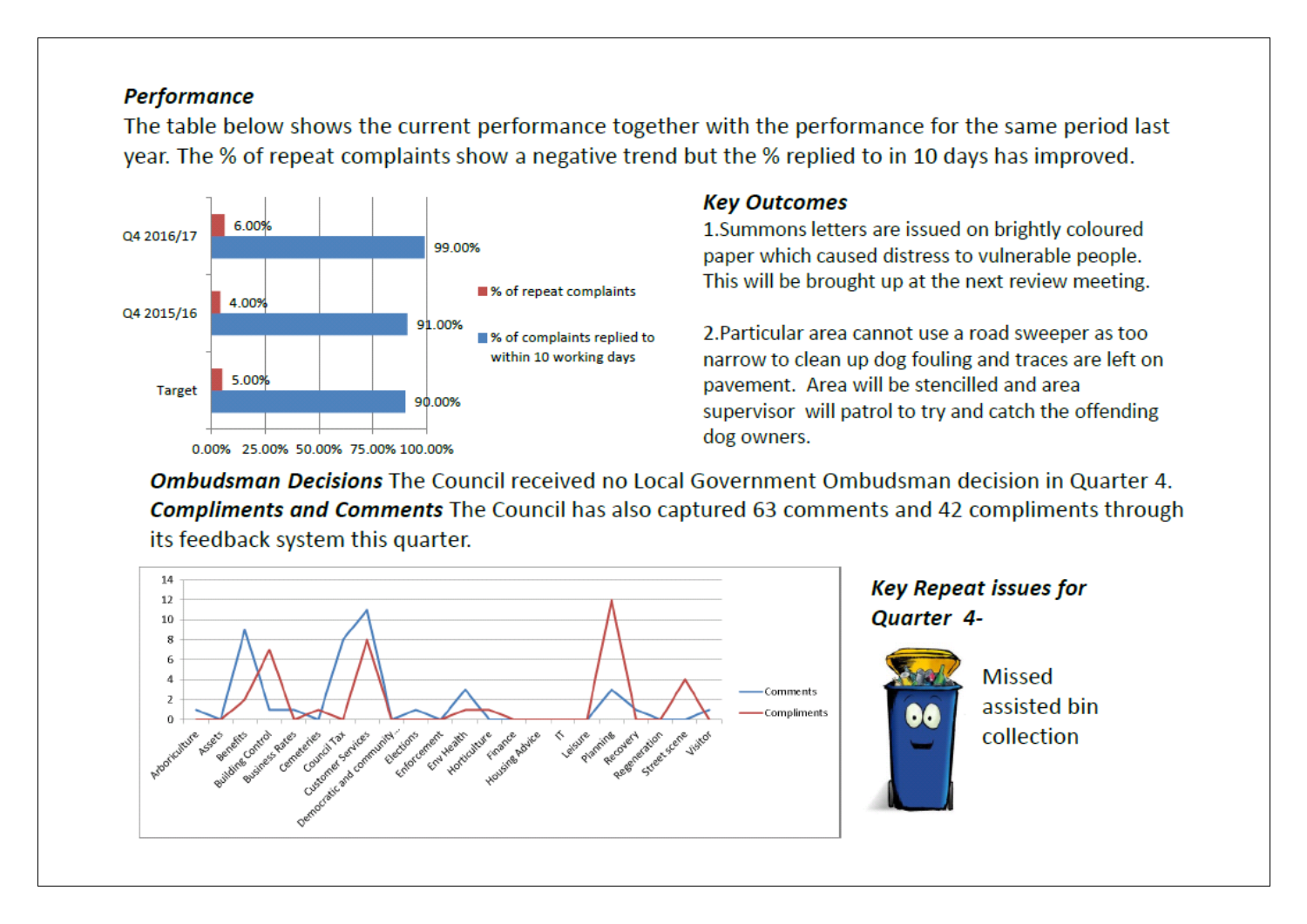### **Performance**

The table below shows the current performance together with the performance for the same period last year. The % of repeat complaints show a negative trend but the % replied to in 10 days has improved.



### **Key Outcomes**

1. Summons letters are issued on brightly coloured paper which caused distress to vulnerable people. This will be brought up at the next review meeting.

2. Particular area cannot use a road sweeper as too narrow to clean up dog fouling and traces are left on payement. Area will be stencilled and area supervisor will patrol to try and catch the offending dog owners.

**Ombudsman Decisions** The Council received no Local Government Ombudsman decision in Quarter 4. **Compliments and Comments** The Council has also captured 63 comments and 42 compliments through its feedback system this quarter.



**Key Repeat issues for** 

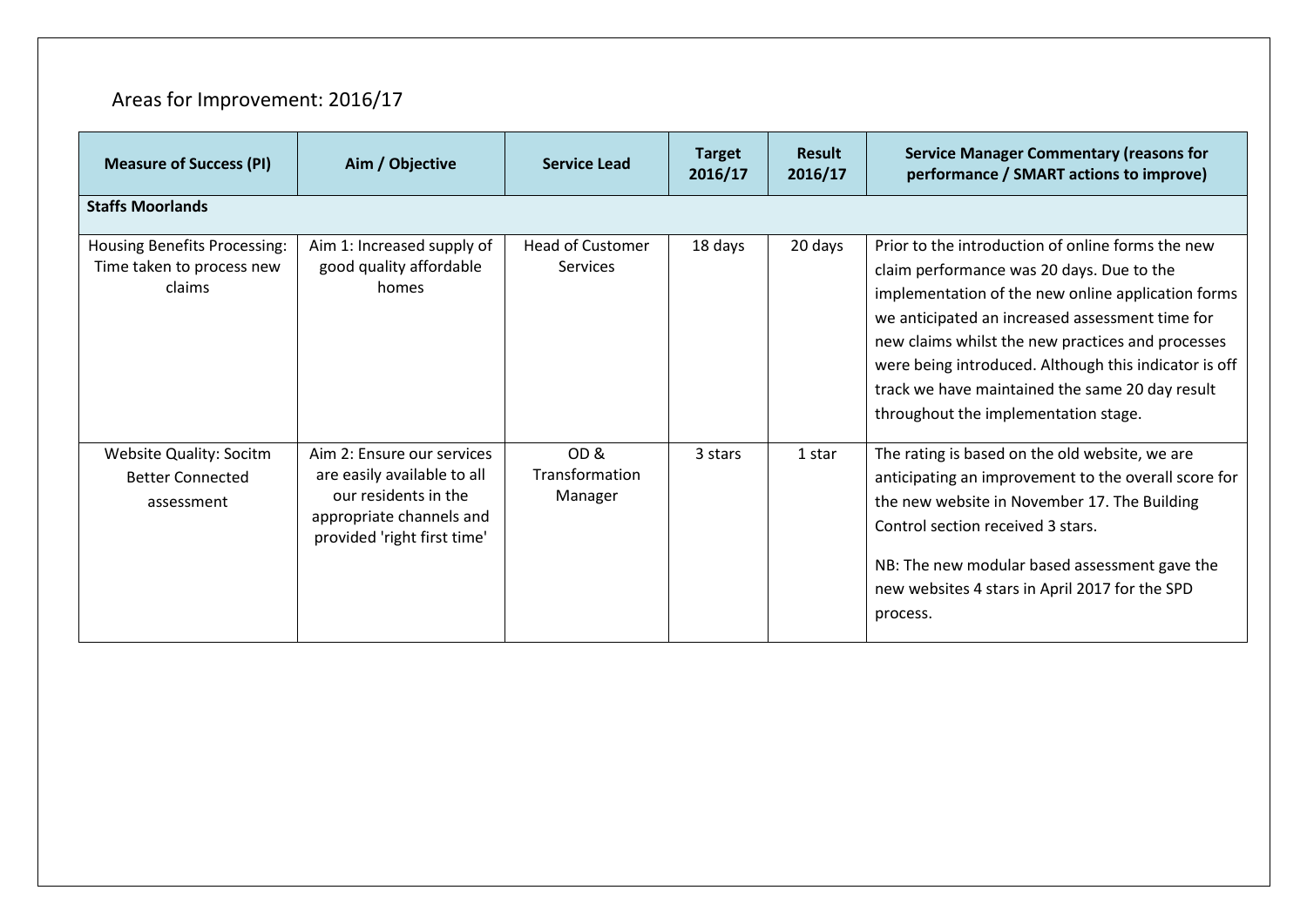# Areas for Improvement: 2016/17

| <b>Measure of Success (PI)</b>                                             | Aim / Objective                                                                                                                              | <b>Service Lead</b>                 | <b>Target</b><br>2016/17 | <b>Result</b><br>2016/17 | <b>Service Manager Commentary (reasons for</b><br>performance / SMART actions to improve)                                                                                                                                                                                                                                                                                                                        |  |  |
|----------------------------------------------------------------------------|----------------------------------------------------------------------------------------------------------------------------------------------|-------------------------------------|--------------------------|--------------------------|------------------------------------------------------------------------------------------------------------------------------------------------------------------------------------------------------------------------------------------------------------------------------------------------------------------------------------------------------------------------------------------------------------------|--|--|
| <b>Staffs Moorlands</b>                                                    |                                                                                                                                              |                                     |                          |                          |                                                                                                                                                                                                                                                                                                                                                                                                                  |  |  |
| <b>Housing Benefits Processing:</b><br>Time taken to process new<br>claims | Aim 1: Increased supply of<br>good quality affordable<br>homes                                                                               | <b>Head of Customer</b><br>Services | 18 days                  | 20 days                  | Prior to the introduction of online forms the new<br>claim performance was 20 days. Due to the<br>implementation of the new online application forms<br>we anticipated an increased assessment time for<br>new claims whilst the new practices and processes<br>were being introduced. Although this indicator is off<br>track we have maintained the same 20 day result<br>throughout the implementation stage. |  |  |
| Website Quality: Socitm<br><b>Better Connected</b><br>assessment           | Aim 2: Ensure our services<br>are easily available to all<br>our residents in the<br>appropriate channels and<br>provided 'right first time' | OD&<br>Transformation<br>Manager    | 3 stars                  | 1 star                   | The rating is based on the old website, we are<br>anticipating an improvement to the overall score for<br>the new website in November 17. The Building<br>Control section received 3 stars.<br>NB: The new modular based assessment gave the<br>new websites 4 stars in April 2017 for the SPD<br>process.                                                                                                       |  |  |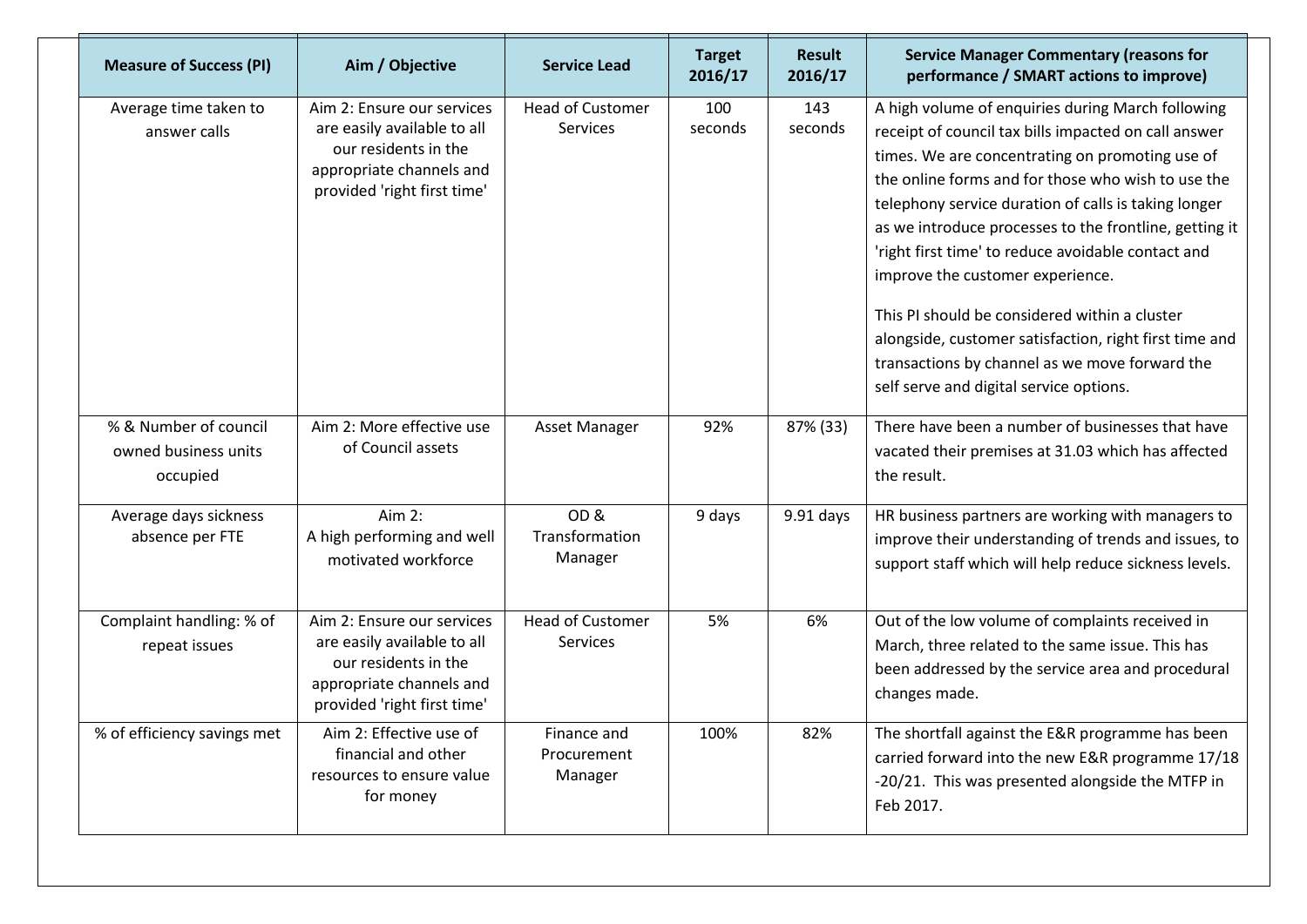| <b>Measure of Success (PI)</b>                            | Aim / Objective                                                                                                                              | <b>Service Lead</b>                        | <b>Target</b><br>2016/17 | <b>Result</b><br>2016/17 | <b>Service Manager Commentary (reasons for</b><br>performance / SMART actions to improve)                                                                                                                                                                                                                                                                                                                                                                                                                                                                                                                                              |
|-----------------------------------------------------------|----------------------------------------------------------------------------------------------------------------------------------------------|--------------------------------------------|--------------------------|--------------------------|----------------------------------------------------------------------------------------------------------------------------------------------------------------------------------------------------------------------------------------------------------------------------------------------------------------------------------------------------------------------------------------------------------------------------------------------------------------------------------------------------------------------------------------------------------------------------------------------------------------------------------------|
| Average time taken to<br>answer calls                     | Aim 2: Ensure our services<br>are easily available to all<br>our residents in the<br>appropriate channels and<br>provided 'right first time' | <b>Head of Customer</b><br><b>Services</b> | 100<br>seconds           | 143<br>seconds           | A high volume of enquiries during March following<br>receipt of council tax bills impacted on call answer<br>times. We are concentrating on promoting use of<br>the online forms and for those who wish to use the<br>telephony service duration of calls is taking longer<br>as we introduce processes to the frontline, getting it<br>'right first time' to reduce avoidable contact and<br>improve the customer experience.<br>This PI should be considered within a cluster<br>alongside, customer satisfaction, right first time and<br>transactions by channel as we move forward the<br>self serve and digital service options. |
| % & Number of council<br>owned business units<br>occupied | Aim 2: More effective use<br>of Council assets                                                                                               | Asset Manager                              | 92%                      | 87% (33)                 | There have been a number of businesses that have<br>vacated their premises at 31.03 which has affected<br>the result.                                                                                                                                                                                                                                                                                                                                                                                                                                                                                                                  |
| Average days sickness<br>absence per FTE                  | Aim 2:<br>A high performing and well<br>motivated workforce                                                                                  | OD&<br>Transformation<br>Manager           | 9 days                   | $9.91$ days              | HR business partners are working with managers to<br>improve their understanding of trends and issues, to<br>support staff which will help reduce sickness levels.                                                                                                                                                                                                                                                                                                                                                                                                                                                                     |
| Complaint handling: % of<br>repeat issues                 | Aim 2: Ensure our services<br>are easily available to all<br>our residents in the<br>appropriate channels and<br>provided 'right first time' | <b>Head of Customer</b><br><b>Services</b> | 5%                       | 6%                       | Out of the low volume of complaints received in<br>March, three related to the same issue. This has<br>been addressed by the service area and procedural<br>changes made.                                                                                                                                                                                                                                                                                                                                                                                                                                                              |
| % of efficiency savings met                               | Aim 2: Effective use of<br>financial and other<br>resources to ensure value<br>for money                                                     | Finance and<br>Procurement<br>Manager      | 100%                     | 82%                      | The shortfall against the E&R programme has been<br>carried forward into the new E&R programme 17/18<br>-20/21. This was presented alongside the MTFP in<br>Feb 2017.                                                                                                                                                                                                                                                                                                                                                                                                                                                                  |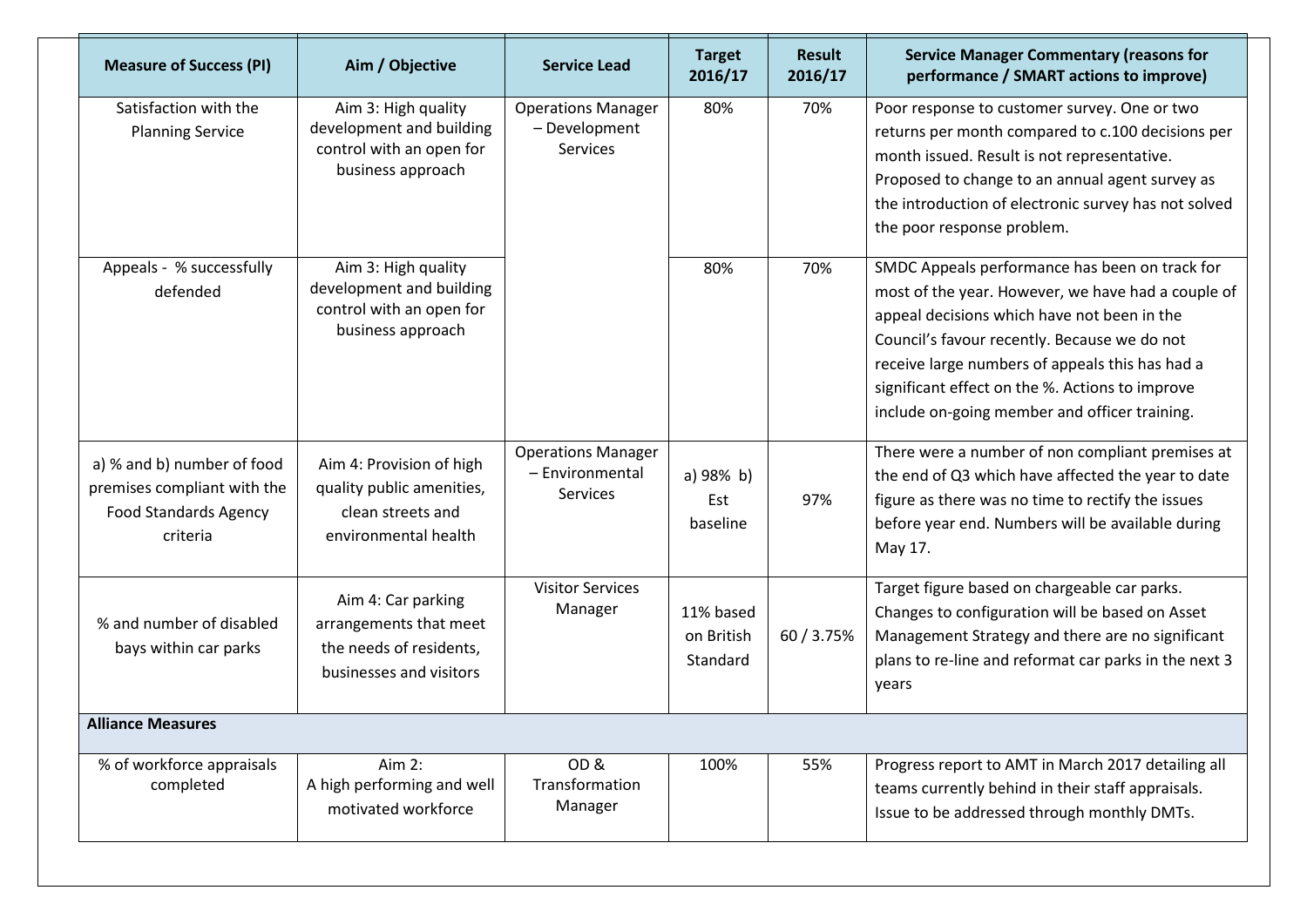| <b>Measure of Success (PI)</b>                                                                        | Aim / Objective                                                                                    | <b>Service Lead</b>                                      | <b>Target</b><br>2016/17            | <b>Result</b><br>2016/17 | <b>Service Manager Commentary (reasons for</b><br>performance / SMART actions to improve)                                                                                                                                                                                                                                                                  |  |
|-------------------------------------------------------------------------------------------------------|----------------------------------------------------------------------------------------------------|----------------------------------------------------------|-------------------------------------|--------------------------|------------------------------------------------------------------------------------------------------------------------------------------------------------------------------------------------------------------------------------------------------------------------------------------------------------------------------------------------------------|--|
| Satisfaction with the<br><b>Planning Service</b>                                                      | Aim 3: High quality<br>development and building<br>control with an open for<br>business approach   | <b>Operations Manager</b><br>- Development<br>Services   | 80%                                 | 70%                      | Poor response to customer survey. One or two<br>returns per month compared to c.100 decisions per<br>month issued. Result is not representative.<br>Proposed to change to an annual agent survey as<br>the introduction of electronic survey has not solved<br>the poor response problem.                                                                  |  |
| Appeals - % successfully<br>defended                                                                  | Aim 3: High quality<br>development and building<br>control with an open for<br>business approach   |                                                          | 80%                                 | 70%                      | SMDC Appeals performance has been on track for<br>most of the year. However, we have had a couple of<br>appeal decisions which have not been in the<br>Council's favour recently. Because we do not<br>receive large numbers of appeals this has had a<br>significant effect on the %. Actions to improve<br>include on-going member and officer training. |  |
| a) % and b) number of food<br>premises compliant with the<br><b>Food Standards Agency</b><br>criteria | Aim 4: Provision of high<br>quality public amenities,<br>clean streets and<br>environmental health | <b>Operations Manager</b><br>- Environmental<br>Services | a) 98% b)<br>Est<br>baseline        | 97%                      | There were a number of non compliant premises at<br>the end of Q3 which have affected the year to date<br>figure as there was no time to rectify the issues<br>before year end. Numbers will be available during<br>May 17.                                                                                                                                |  |
| % and number of disabled<br>bays within car parks                                                     | Aim 4: Car parking<br>arrangements that meet<br>the needs of residents,<br>businesses and visitors | <b>Visitor Services</b><br>Manager                       | 11% based<br>on British<br>Standard | 60 / 3.75%               | Target figure based on chargeable car parks.<br>Changes to configuration will be based on Asset<br>Management Strategy and there are no significant<br>plans to re-line and reformat car parks in the next 3<br>years                                                                                                                                      |  |
| <b>Alliance Measures</b>                                                                              |                                                                                                    |                                                          |                                     |                          |                                                                                                                                                                                                                                                                                                                                                            |  |
| % of workforce appraisals<br>completed                                                                | Aim 2:<br>A high performing and well<br>motivated workforce                                        | OD <sub>&amp;</sub><br>Transformation<br>Manager         | 100%                                | 55%                      | Progress report to AMT in March 2017 detailing all<br>teams currently behind in their staff appraisals.<br>Issue to be addressed through monthly DMTs.                                                                                                                                                                                                     |  |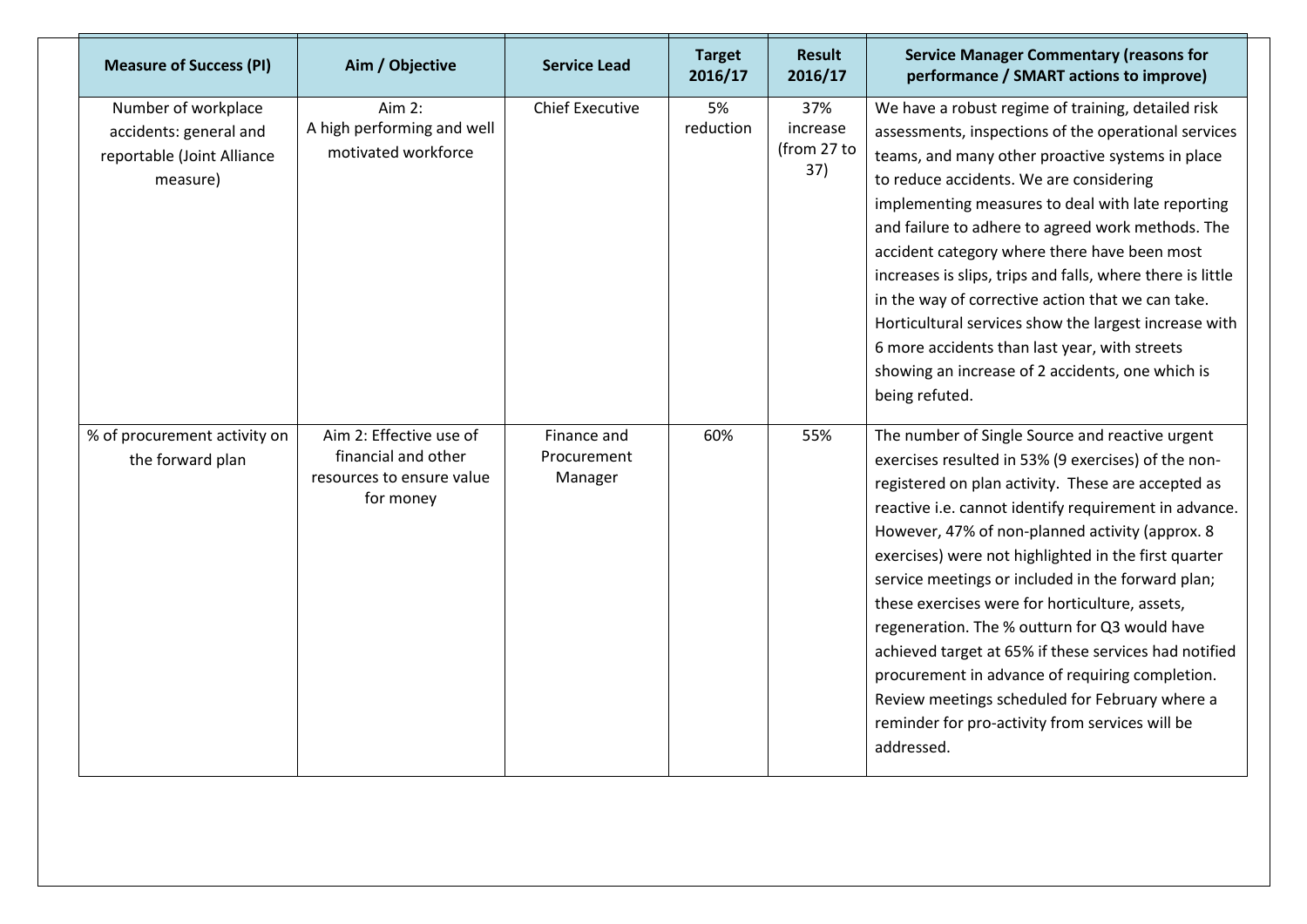| <b>Measure of Success (PI)</b>                                                          | Aim / Objective                                                                          | <b>Service Lead</b>                   | <b>Target</b><br>2016/17 | <b>Result</b><br>2016/17              | <b>Service Manager Commentary (reasons for</b><br>performance / SMART actions to improve)                                                                                                                                                                                                                                                                                                                                                                                                                                                                                                                                                                                                                               |
|-----------------------------------------------------------------------------------------|------------------------------------------------------------------------------------------|---------------------------------------|--------------------------|---------------------------------------|-------------------------------------------------------------------------------------------------------------------------------------------------------------------------------------------------------------------------------------------------------------------------------------------------------------------------------------------------------------------------------------------------------------------------------------------------------------------------------------------------------------------------------------------------------------------------------------------------------------------------------------------------------------------------------------------------------------------------|
| Number of workplace<br>accidents: general and<br>reportable (Joint Alliance<br>measure) | Aim $2:$<br>A high performing and well<br>motivated workforce                            | <b>Chief Executive</b>                | 5%<br>reduction          | 37%<br>increase<br>(from 27 to<br>37) | We have a robust regime of training, detailed risk<br>assessments, inspections of the operational services<br>teams, and many other proactive systems in place<br>to reduce accidents. We are considering<br>implementing measures to deal with late reporting<br>and failure to adhere to agreed work methods. The<br>accident category where there have been most<br>increases is slips, trips and falls, where there is little<br>in the way of corrective action that we can take.<br>Horticultural services show the largest increase with<br>6 more accidents than last year, with streets<br>showing an increase of 2 accidents, one which is<br>being refuted.                                                  |
| % of procurement activity on<br>the forward plan                                        | Aim 2: Effective use of<br>financial and other<br>resources to ensure value<br>for money | Finance and<br>Procurement<br>Manager | 60%                      | 55%                                   | The number of Single Source and reactive urgent<br>exercises resulted in 53% (9 exercises) of the non-<br>registered on plan activity. These are accepted as<br>reactive i.e. cannot identify requirement in advance.<br>However, 47% of non-planned activity (approx. 8<br>exercises) were not highlighted in the first quarter<br>service meetings or included in the forward plan;<br>these exercises were for horticulture, assets,<br>regeneration. The % outturn for Q3 would have<br>achieved target at 65% if these services had notified<br>procurement in advance of requiring completion.<br>Review meetings scheduled for February where a<br>reminder for pro-activity from services will be<br>addressed. |